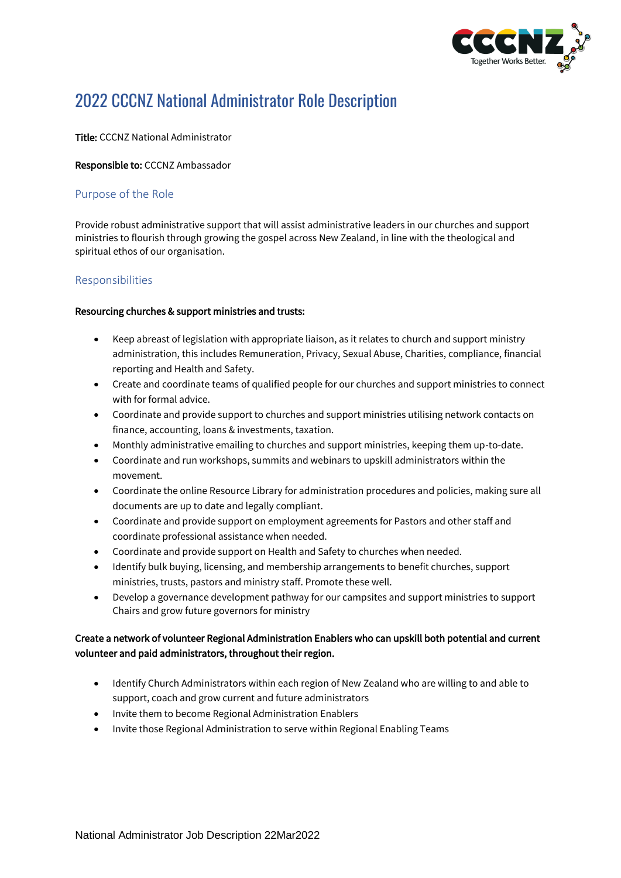

# 2022 CCCNZ National Administrator Role Description

#### Title: CCCNZ National Administrator

#### Responsible to: CCCNZ Ambassador

# Purpose of the Role

Provide robust administrative support that will assist administrative leaders in our churches and support ministries to flourish through growing the gospel across New Zealand, in line with the theological and spiritual ethos of our organisation.

## Responsibilities

#### Resourcing churches & support ministries and trusts:

- Keep abreast of legislation with appropriate liaison, as it relates to church and support ministry administration, this includes Remuneration, Privacy, Sexual Abuse, Charities, compliance, financial reporting and Health and Safety.
- Create and coordinate teams of qualified people for our churches and support ministries to connect with for formal advice.
- Coordinate and provide support to churches and support ministries utilising network contacts on finance, accounting, loans & investments, taxation.
- Monthly administrative emailing to churches and support ministries, keeping them up-to-date.
- Coordinate and run workshops, summits and webinars to upskill administrators within the movement.
- Coordinate the online Resource Library for administration procedures and policies, making sure all documents are up to date and legally compliant.
- Coordinate and provide support on employment agreements for Pastors and other staff and coordinate professional assistance when needed.
- Coordinate and provide support on Health and Safety to churches when needed.
- Identify bulk buying, licensing, and membership arrangements to benefit churches, support ministries, trusts, pastors and ministry staff. Promote these well.
- Develop a governance development pathway for our campsites and support ministries to support Chairs and grow future governors for ministry

# Create a network of volunteer Regional Administration Enablers who can upskill both potential and current volunteer and paid administrators, throughout their region.

- Identify Church Administrators within each region of New Zealand who are willing to and able to support, coach and grow current and future administrators
- Invite them to become Regional Administration Enablers
- Invite those Regional Administration to serve within Regional Enabling Teams